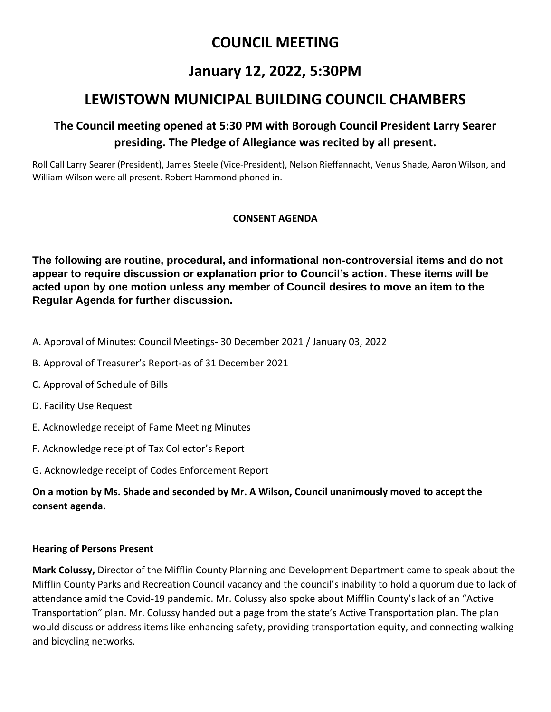# **COUNCIL MEETING**

# **January 12, 2022, 5:30PM**

# **LEWISTOWN MUNICIPAL BUILDING COUNCIL CHAMBERS**

## **The Council meeting opened at 5:30 PM with Borough Council President Larry Searer presiding. The Pledge of Allegiance was recited by all present.**

Roll Call Larry Searer (President), James Steele (Vice-President), Nelson Rieffannacht, Venus Shade, Aaron Wilson, and William Wilson were all present. Robert Hammond phoned in.

### **CONSENT AGENDA**

**The following are routine, procedural, and informational non-controversial items and do not appear to require discussion or explanation prior to Council's action. These items will be acted upon by one motion unless any member of Council desires to move an item to the Regular Agenda for further discussion.**

A. Approval of Minutes: Council Meetings- 30 December 2021 / January 03, 2022

- B. Approval of Treasurer's Report-as of 31 December 2021
- C. Approval of Schedule of Bills
- D. Facility Use Request
- E. Acknowledge receipt of Fame Meeting Minutes
- F. Acknowledge receipt of Tax Collector's Report
- G. Acknowledge receipt of Codes Enforcement Report

**On a motion by Ms. Shade and seconded by Mr. A Wilson, Council unanimously moved to accept the consent agenda.**

### **Hearing of Persons Present**

**Mark Colussy,** Director of the Mifflin County Planning and Development Department came to speak about the Mifflin County Parks and Recreation Council vacancy and the council's inability to hold a quorum due to lack of attendance amid the Covid-19 pandemic. Mr. Colussy also spoke about Mifflin County's lack of an "Active Transportation" plan. Mr. Colussy handed out a page from the state's Active Transportation plan. The plan would discuss or address items like enhancing safety, providing transportation equity, and connecting walking and bicycling networks.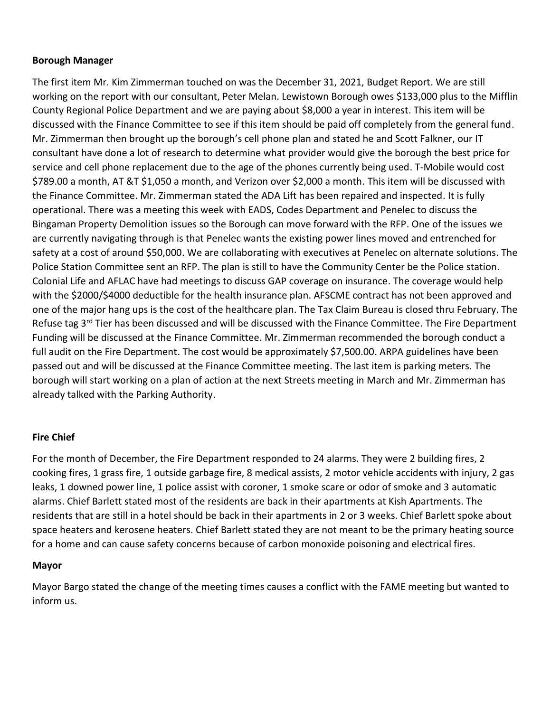#### **Borough Manager**

The first item Mr. Kim Zimmerman touched on was the December 31, 2021, Budget Report. We are still working on the report with our consultant, Peter Melan. Lewistown Borough owes \$133,000 plus to the Mifflin County Regional Police Department and we are paying about \$8,000 a year in interest. This item will be discussed with the Finance Committee to see if this item should be paid off completely from the general fund. Mr. Zimmerman then brought up the borough's cell phone plan and stated he and Scott Falkner, our IT consultant have done a lot of research to determine what provider would give the borough the best price for service and cell phone replacement due to the age of the phones currently being used. T-Mobile would cost \$789.00 a month, AT &T \$1,050 a month, and Verizon over \$2,000 a month. This item will be discussed with the Finance Committee. Mr. Zimmerman stated the ADA Lift has been repaired and inspected. It is fully operational. There was a meeting this week with EADS, Codes Department and Penelec to discuss the Bingaman Property Demolition issues so the Borough can move forward with the RFP. One of the issues we are currently navigating through is that Penelec wants the existing power lines moved and entrenched for safety at a cost of around \$50,000. We are collaborating with executives at Penelec on alternate solutions. The Police Station Committee sent an RFP. The plan is still to have the Community Center be the Police station. Colonial Life and AFLAC have had meetings to discuss GAP coverage on insurance. The coverage would help with the \$2000/\$4000 deductible for the health insurance plan. AFSCME contract has not been approved and one of the major hang ups is the cost of the healthcare plan. The Tax Claim Bureau is closed thru February. The Refuse tag 3<sup>rd</sup> Tier has been discussed and will be discussed with the Finance Committee. The Fire Department Funding will be discussed at the Finance Committee. Mr. Zimmerman recommended the borough conduct a full audit on the Fire Department. The cost would be approximately \$7,500.00. ARPA guidelines have been passed out and will be discussed at the Finance Committee meeting. The last item is parking meters. The borough will start working on a plan of action at the next Streets meeting in March and Mr. Zimmerman has already talked with the Parking Authority.

#### **Fire Chief**

For the month of December, the Fire Department responded to 24 alarms. They were 2 building fires, 2 cooking fires, 1 grass fire, 1 outside garbage fire, 8 medical assists, 2 motor vehicle accidents with injury, 2 gas leaks, 1 downed power line, 1 police assist with coroner, 1 smoke scare or odor of smoke and 3 automatic alarms. Chief Barlett stated most of the residents are back in their apartments at Kish Apartments. The residents that are still in a hotel should be back in their apartments in 2 or 3 weeks. Chief Barlett spoke about space heaters and kerosene heaters. Chief Barlett stated they are not meant to be the primary heating source for a home and can cause safety concerns because of carbon monoxide poisoning and electrical fires.

#### **Mayor**

Mayor Bargo stated the change of the meeting times causes a conflict with the FAME meeting but wanted to inform us.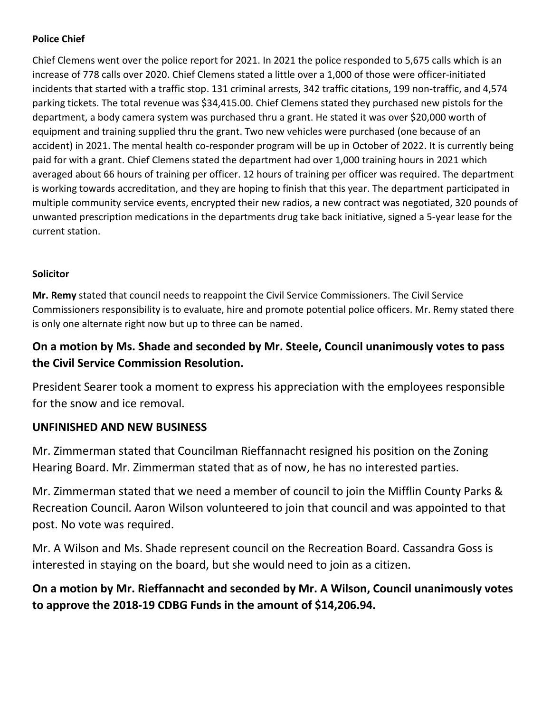## **Police Chief**

Chief Clemens went over the police report for 2021. In 2021 the police responded to 5,675 calls which is an increase of 778 calls over 2020. Chief Clemens stated a little over a 1,000 of those were officer-initiated incidents that started with a traffic stop. 131 criminal arrests, 342 traffic citations, 199 non-traffic, and 4,574 parking tickets. The total revenue was \$34,415.00. Chief Clemens stated they purchased new pistols for the department, a body camera system was purchased thru a grant. He stated it was over \$20,000 worth of equipment and training supplied thru the grant. Two new vehicles were purchased (one because of an accident) in 2021. The mental health co-responder program will be up in October of 2022. It is currently being paid for with a grant. Chief Clemens stated the department had over 1,000 training hours in 2021 which averaged about 66 hours of training per officer. 12 hours of training per officer was required. The department is working towards accreditation, and they are hoping to finish that this year. The department participated in multiple community service events, encrypted their new radios, a new contract was negotiated, 320 pounds of unwanted prescription medications in the departments drug take back initiative, signed a 5-year lease for the current station.

### **Solicitor**

**Mr. Remy** stated that council needs to reappoint the Civil Service Commissioners. The Civil Service Commissioners responsibility is to evaluate, hire and promote potential police officers. Mr. Remy stated there is only one alternate right now but up to three can be named.

## **On a motion by Ms. Shade and seconded by Mr. Steele, Council unanimously votes to pass the Civil Service Commission Resolution.**

President Searer took a moment to express his appreciation with the employees responsible for the snow and ice removal.

## **UNFINISHED AND NEW BUSINESS**

Mr. Zimmerman stated that Councilman Rieffannacht resigned his position on the Zoning Hearing Board. Mr. Zimmerman stated that as of now, he has no interested parties.

Mr. Zimmerman stated that we need a member of council to join the Mifflin County Parks & Recreation Council. Aaron Wilson volunteered to join that council and was appointed to that post. No vote was required.

Mr. A Wilson and Ms. Shade represent council on the Recreation Board. Cassandra Goss is interested in staying on the board, but she would need to join as a citizen.

**On a motion by Mr. Rieffannacht and seconded by Mr. A Wilson, Council unanimously votes to approve the 2018-19 CDBG Funds in the amount of \$14,206.94.**